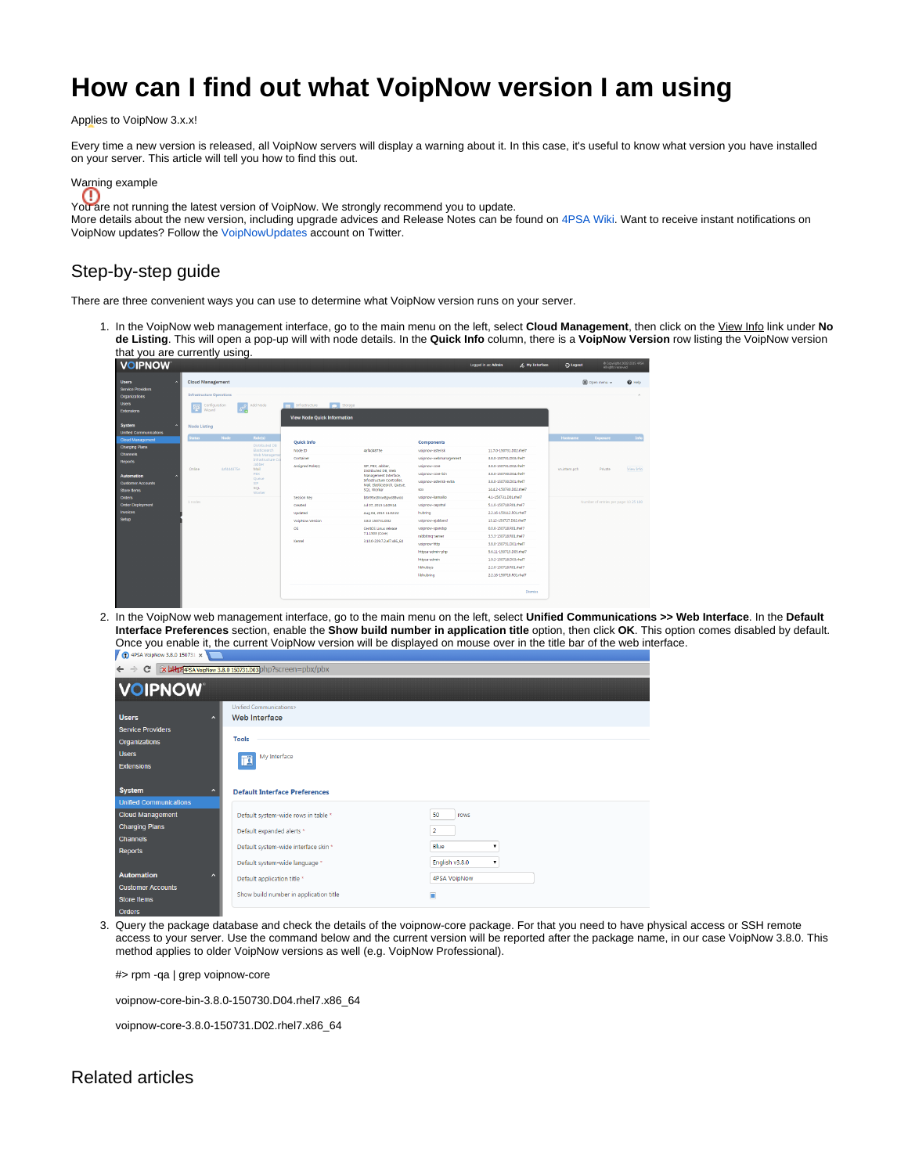## **How can I find out what VoipNow version I am using**

Applies to VoipNow 3.x.x!

Every time a new version is released, all VoipNow servers will display a warning about it. In this case, it's useful to know what version you have installed on your server. This article will tell you how to find this out.



You are not running the latest version of VoipNow. We strongly recommend you to update.

More details about the new version, including upgrade advices and Release Notes can be found on [4PSA Wiki](http://wiki.4psa.com/). Want to receive instant notifications on VoipNow updates? Follow the [VoipNowUpdates](http://www.twitter.com/voipnowupdates) account on Twitter.

## Step-by-step guide

There are three convenient ways you can use to determine what VoipNow version runs on your server.

1. In the VoipNow web management interface, go to the main menu on the left, select **Cloud Management**, then click on the View Info link under **No de Listing**. This will open a pop-up will with node details. In the **Quick Info** column, there is a **VoipNow Version** row listing the VoipNow version that you are currently using.

| <b>VOIPNOW</b>                                                            |  |                                                             |             |                                                                                                             |                                                                     |                                                                                                                                           |                                       | Locord In as: Admin                              | A My Interface | O Logout     |                                       | Copyrights 2002-2015 +PSA |
|---------------------------------------------------------------------------|--|-------------------------------------------------------------|-------------|-------------------------------------------------------------------------------------------------------------|---------------------------------------------------------------------|-------------------------------------------------------------------------------------------------------------------------------------------|---------------------------------------|--------------------------------------------------|----------------|--------------|---------------------------------------|---------------------------|
| <b>Users</b><br>Service Providers                                         |  | <b>Cloud Management</b><br><b>Infrastructure Operations</b> |             |                                                                                                             |                                                                     |                                                                                                                                           |                                       |                                                  |                |              | El Coen menu y                        | $Q$ Help                  |
| Organizations<br><b>Users</b><br><b>Extensions</b>                        |  | Configuration<br>噿<br>Wizard                                | $s^2$       | Add Node                                                                                                    | Storage<br>and Infrastructure<br><b>View Node Quick Information</b> |                                                                                                                                           |                                       |                                                  |                |              |                                       |                           |
| <b>System</b><br><b>Unified Communications</b><br><b>Cloud Management</b> |  | <b>Node Listing</b><br>Status 7                             | <b>Node</b> | Role(s)                                                                                                     |                                                                     |                                                                                                                                           |                                       |                                                  |                | Hostname     | Exposure                              | Info                      |
| <b>Charging Plans</b>                                                     |  |                                                             |             | Distributed DB                                                                                              | <b>Ouick Info</b>                                                   |                                                                                                                                           | Components                            |                                                  |                |              |                                       |                           |
| <b>Channels</b>                                                           |  |                                                             |             | Elasticsearch<br>Web Manageme<br>Infrastructure Co.<br>Jabber<br>Mail<br>PRX.<br>Oueue<br><b>SIP</b><br>SQL | Node ID                                                             | 4af4d4875e                                                                                                                                | voipnow-asterisk                      | 11.7.0-150731.D02.rhel7                          |                |              | Private                               | View Info                 |
| <b>Reports</b>                                                            |  |                                                             |             |                                                                                                             | Container<br>Assigned Rolets)                                       | SIP, PBX Jabber,<br>Distributed DB Web<br>Management Interface.<br>Infrastructure Controller.<br>Mail Elasticsearch, Queue,<br>SQL Worker | voipnow-webmanagement<br>voipnow-core | 3.8.0-150731.D03.rhel7<br>3.8.0-150731.D02.rhel7 |                | vnintern.och |                                       |                           |
|                                                                           |  | Online                                                      | 4a14d4875e  |                                                                                                             |                                                                     |                                                                                                                                           | voipnow-core-bin                      | 3.8.0-150730.D04.rhel7                           |                |              |                                       |                           |
| <b>Automation</b>                                                         |  |                                                             |             |                                                                                                             |                                                                     |                                                                                                                                           | voipnow-asterisk-extra                | 3.8.0-150730.D01.rhel7                           |                |              |                                       |                           |
| <b>Customer Accounts</b><br>Store Items                                   |  |                                                             |             |                                                                                                             |                                                                     |                                                                                                                                           | sox                                   | 14.4.2-150730.D02.rhel7                          |                |              |                                       |                           |
| <b>Orders</b>                                                             |  |                                                             |             | Worker                                                                                                      | Session Key                                                         | b8n95xs8nm8qws88woo                                                                                                                       | voipnow-kamailio                      | 4.1-150731.D01.rhel7                             |                |              |                                       |                           |
| <b>Order Deployment</b>                                                   |  | 1 nodes                                                     |             |                                                                                                             | Created                                                             | Jul 07, 2015 14:09:14                                                                                                                     | voipnow-cepstral                      | 5.1.0-150718.R01.rhel7                           |                |              | Number of entries per page: 10 25 100 |                           |
| <b>Invoices</b>                                                           |  |                                                             |             |                                                                                                             | Undated                                                             | Aug 04, 2015 11:02:22                                                                                                                     | hubring                               | 2.2.16-150112.R01rhel7                           |                |              |                                       |                           |
| <b>Setup</b>                                                              |  |                                                             |             |                                                                                                             | VolpNow Version                                                     | 3.8.0 150731.DO2                                                                                                                          | voipnow-eiabberd                      | 13.12-150727.D02.rhel7                           |                |              |                                       |                           |
|                                                                           |  |                                                             |             |                                                                                                             | OS.                                                                 | CentOS Linux release                                                                                                                      | voipnow-spandsp                       | 0.0.6-150718.R01.rhel7                           |                |              |                                       |                           |
|                                                                           |  |                                                             |             |                                                                                                             |                                                                     | 7.1.1503 (Core)                                                                                                                           | rabbitmo-server                       | 3.5.3-150718.R01.rhel7                           |                |              |                                       |                           |
|                                                                           |  |                                                             |             |                                                                                                             | Kernel                                                              | 3.10.0-229.7.2.el7.x86.64                                                                                                                 | voipnow-http                          | 3.8.0-150731.D01.rhel7                           |                |              |                                       |                           |
|                                                                           |  |                                                             |             |                                                                                                             |                                                                     |                                                                                                                                           | httpsa-admin-php                      | 5.6.11-150715.D05.rhel7                          |                |              |                                       |                           |
|                                                                           |  |                                                             |             |                                                                                                             |                                                                     |                                                                                                                                           | httpsa-admin                          | 1.9.2-150718.D03.rhel7                           |                |              |                                       |                           |
|                                                                           |  |                                                             |             |                                                                                                             |                                                                     |                                                                                                                                           | libhubsys                             | 2.2.0-150718.R01.rhel7                           |                |              |                                       |                           |
|                                                                           |  |                                                             |             |                                                                                                             |                                                                     |                                                                                                                                           | libhubring                            | 2.2.16-150718.R01.rhel7                          |                |              |                                       |                           |
|                                                                           |  |                                                             |             |                                                                                                             |                                                                     |                                                                                                                                           |                                       |                                                  | <b>Dismiss</b> |              |                                       |                           |
|                                                                           |  |                                                             |             |                                                                                                             |                                                                     |                                                                                                                                           |                                       |                                                  |                |              |                                       |                           |

2. In the VoipNow web management interface, go to the main menu on the left, select **Unified Communications >> Web Interface**. In the **Default Interface Preferences** section, enable the **Show build number in application title** option, then click **OK**. This option comes disabled by default. Once you enable it, the current VoipNow version will be displayed on mouse over in the title bar of the web interface.

| x http://www.3.8.0 150731.003php?screen=pbx/pbx<br>C                    |                                          |                     |  |  |  |  |  |  |  |
|-------------------------------------------------------------------------|------------------------------------------|---------------------|--|--|--|--|--|--|--|
| <b>VOIPNOW</b>                                                          |                                          |                     |  |  |  |  |  |  |  |
| <b>Users</b><br>$\lambda$<br><b>Service Providers</b>                   | Unified Communications><br>Web Interface |                     |  |  |  |  |  |  |  |
| Organizations                                                           | Tools                                    |                     |  |  |  |  |  |  |  |
| <b>Users</b><br><b>Extensions</b>                                       | My Interface<br>TÄ                       |                     |  |  |  |  |  |  |  |
| <b>System</b><br>$\boldsymbol{\wedge}$<br><b>Unified Communications</b> | <b>Default Interface Preferences</b>     |                     |  |  |  |  |  |  |  |
| <b>Cloud Management</b>                                                 | Default system-wide rows in table *      | 50<br>rows          |  |  |  |  |  |  |  |
| <b>Charging Plans</b><br><b>Channels</b>                                | Default expanded alerts *                | 2                   |  |  |  |  |  |  |  |
| Reports                                                                 | Default system-wide interface skin *     | Blue<br>۰           |  |  |  |  |  |  |  |
|                                                                         | Default system-wide language *           | English v3.8.0<br>۷ |  |  |  |  |  |  |  |
| <b>Automation</b><br>$\sim$                                             | Default application title *              | 4PSA VoipNow        |  |  |  |  |  |  |  |
| <b>Customer Accounts</b><br><b>Store Items</b>                          | Show build number in application title   | $\blacksquare$      |  |  |  |  |  |  |  |

3. Query the package database and check the details of the voipnow-core package. For that you need to have physical access or SSH remote access to your server. Use the command below and the current version will be reported after the package name, in our case VoipNow 3.8.0. This method applies to older VoipNow versions as well (e.g. VoipNow Professional).

#> rpm -qa | grep voipnow-core

voipnow-core-bin-3.8.0-150730.D04.rhel7.x86\_64

voipnow-core-3.8.0-150731.D02.rhel7.x86\_64

## Related articles